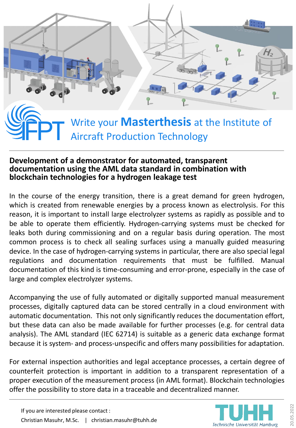

## **Development of a demonstrator for automated, transparent documentation using the AML data standard in combination with blockchain technologies for a hydrogen leakage test**

In the course of the energy transition, there is a great demand for green hydrogen, which is created from renewable energies by a process known as electrolysis. For this reason, it is important to install large electrolyzer systems as rapidly as possible and to be able to operate them efficiently. Hydrogen-carrying systems must be checked for leaks both during commissioning and on a regular basis during operation. The most common process is to check all sealing surfaces using a manually guided measuring device. In the case of hydrogen-carrying systems in particular, there are also special legal regulations and documentation requirements that must be fulfilled. Manual documentation of this kind is time-consuming and error-prone, especially in the case of large and complex electrolyzer systems.

Accompanying the use of fully automated or digitally supported manual measurement processes, digitally captured data can be stored centrally in a cloud environment with automatic documentation. This not only significantly reduces the documentation effort, but these data can also be made available for further processes (e.g. for central data analysis). The AML standard (IEC 62714) is suitable as a generic data exchange format because it is system- and process-unspecific and offers many possibilities for adaptation.

For external inspection authorities and legal acceptance processes, a certain degree of counterfeit protection is important in addition to a transparent representation of a proper execution of the measurement process (in AML format). Blockchain technologies offer the possibility to store data in a traceable and decentralized manner.

If you are interested please contact : Christian Masuhr, M.Sc. | christian.masuhr@tuhh.de